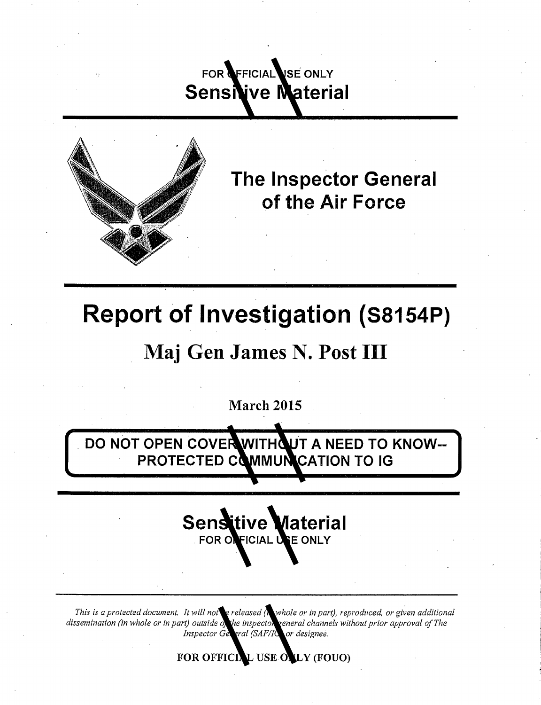## FOR **OFFICIAL USE ONLY Sensive Material**



**The Inspector General of the Air Force** 

# **Report of Investigation {S8154P)**

## **Maj Gen James N. Post** III

March 2015

**DO NOT OPEN COVER WITHOUT A NEED TO KNOW--PROTECTED COMMUNICATION TO IG** 



*This is a protected document. It will not be released (in whole or in part), reproduced, or given additional dissemination (in whole or in part) outside of the inspector general channels without prior approval of The*  . *Inspector General (SAFllG) or designee.*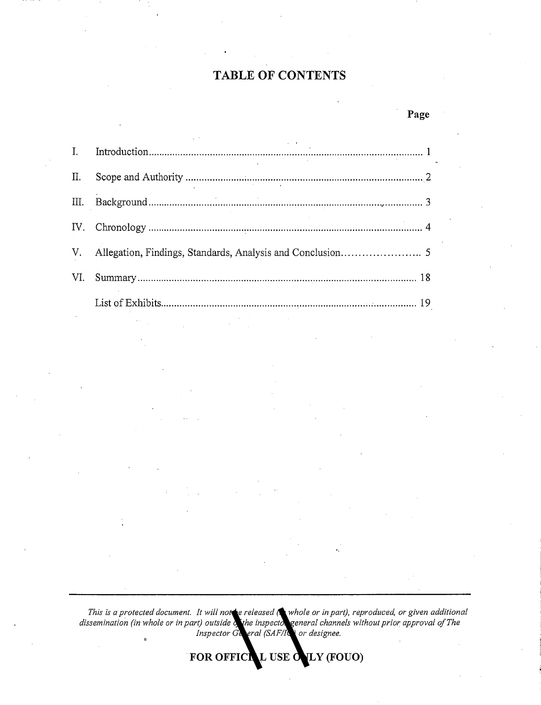### **TABLE OF CONTENTS**

**Page** 

| П.  |  |
|-----|--|
| Ш.  |  |
|     |  |
|     |  |
| VI. |  |
|     |  |

*This is a protected document. It will not* be released (**in** whole or in part), reproduced, or given additional dissemination (in whole or in part) outside of the inspector general channels without prior approval of The *Inspector General (SAF/IG) or designee.*  $\ddot{\circ}$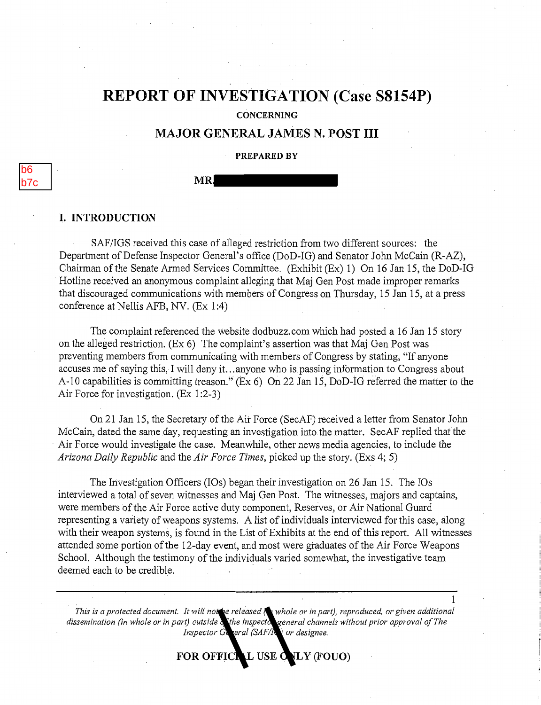## **REPORT OF** INVESTIGATION (Case **S8154P)**

**CONCERNING** 

### MAJOR GENERAL JAMES N. POST III

#### PREPARED BY

b6 b7c

#### MR.

#### I. INTRODUCTION

SAF/IGS received this case of alleged restriction from two different sources: the Department of Defense Inspector General's office (DoD-IG) and Senator John McCain (R-AZ), Chairman of the Senate Armed Services Committee. (Exhibit (Ex) 1) On 16 Jan 15, the DoD-IG Hotline received an anonymous complaint alleging that Maj Gen Post made improper remarks that discouraged communications with members of Congress on Thursday, 15 Jan 15, at a press conference at Nellis AFB, NV. (Ex 1:4)

The complaint referenced the website dodbuzz.com which had posted a 16 Jan 15 story on the alleged restriction. (Ex 6) The complaint's assertion was that Maj Gen Post was preventing members from communicating with members of Congress by stating, "If anyone accuses me of saying this, I will deny it ... anyone who is. passing information to Congress about A-10 capabilities is committing treason." (Ex 6) On 22 Jan 15, DoD-iG referred the matter to the Air Force for investigation. (Ex 1:2-3)

On 21 Jan 15, the Secretary of the Ait Force (SecAF) received a letter from Senator John McCain, dated the same day, requesting an investigation into the matter. SecAF replied that the · Air Force would investigate the case. Meanwhile, other news media agencies, to include the *Arizona Daily Republic* and the *Air Force Times,* picked up the story. (Exs 4; 5)

The Investigation Officers (IOs) began their investigation on 26 Jan 15. The IOs interviewed a total of seven witnesses and Maj Gen Post. The witnesses, majors and captains, were members of the Air Force active duty component, Reserves, or Air National Guard representing a variety of weapons systems. A list of individuals interviewed for this case, along with their weapon systems, is found in the List of Exhibits at the end of this report. All witnesses attended some portion of the 12-day event, and most were graduates of the Air Force Weapons School. Although the testimony of the individuals varied somewhat, the investigative team deemed each to be credible.

*This is a protected document. It will not be released*  $\alpha$  whole or in part), reproduced, or given additional dissemination (in whole or in part) outside of the inspector general channels without prior approval of The *Inspector G* aeral (SAF/IG) or designee.

1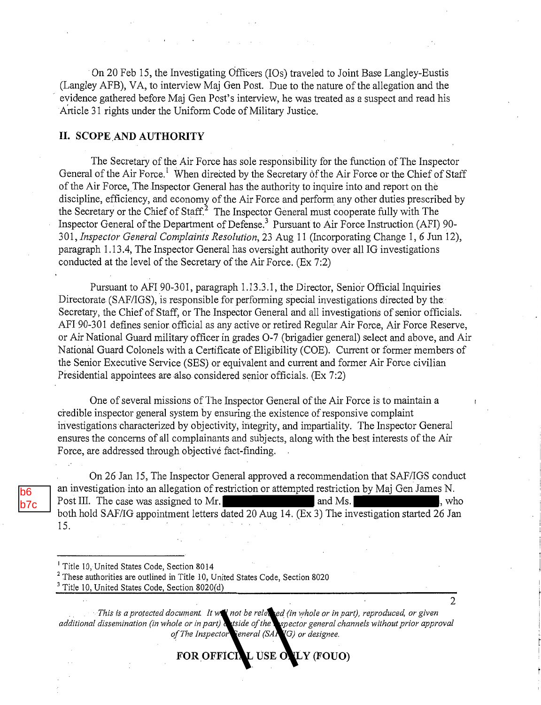On 20 Feb 15, the Investigating Officers (IOs) traveled to Joint Base Langley-Eustis (Langley AFB), VA, to interview Maj Gen Post. Due to the nature of the allegation and the evidence gathered before Maj Gen Post's interview, he was treated as a suspect and read his Article 31 rights under the Uniform Code of Military Justice.

#### **II. SCOPE AND AUTHORITY**

The Secretary of the Air Force has sole responsibility for the function of The Inspector General of the Air Force.<sup>1</sup> When directed by the Secretary of the Air Force or the Chief of Staff of the Air Force,. The Inspector General has the authority to inquire into and report on the discipline, efficiency, and economy of the Air Force and perform any other duties prescribed by the Secretary or the Chief of Staff.2 The Inspector General must cooperate fully with The Inspector General of the Department of Defense.3 Pursuant to Air Force Instruction (AFI) 90- 301, *Inspector Genet-al Complaints Resolution,* 23 Aug 11 (Incorporating Change 1, 6 **Jun** 12), paragraph 1.13 .4, The Inspector General has oversight authority over all IG investigations conducted at the level of the Secretary of the Air Force. (Ex 7:2)

Pursuant to AFI 90-301, paragraph 1.13.3.1, the Director, Senior Official Inquiries Directorate (SAF/IGS), is responsible for performing special investigations directed by the Secretary, the Chief of Staff, or The Inspector General and all investigations of senior officials. AFI 90-301 defines senior official as any active or retired Regular Air Force, Air Force Reserve, or Air National Guard military officer in grades 0-7 (brigadier general) select and above, and Air National Guard Colonels with a Certificate of Eligibility (COE). Current or former members of the Senior Executive Service (SES) or equivalent and current and former Air Force civilian Presidential appointees are also considered senior officials. (Ex 7:2)

One of several missions of The Inspector General of the Air Force is to maintain a credible inspector general system by ensuring the existence of responsive complaint investigations characterized by objectivity, integrity, and impartiality. The Inspector General ensures the concerns of all complainants and subjects, along with the best interests of the Air Force, are addressed through objective fact-finding.

On 26 Jan 15, The Inspector General approved a recommendation that SAF/IGS conduct an investigation into an allegation of restriction or attempted restriction by Maj Gen James N. Post III. The case was assigned to Mr. and Ms.  $\blacksquare$ , who both hold SAF/IG appointment letters dated 20 Aug 14. (Ex 3) The investigation started 26 Jan 15.

b6 b7c

riant *is a protected document. It will not be rele* sed (in whole or in part), reproduced, or given *additional dissemination (in whole or in part)* utside of the *aspector general channels without prior approval* of The Inspector General (SAR<sup>IG</sup>) or designee.

FOR OFFICIAL USE ONLY (FOUO)

 $\mathfrak{D}$ 

<sup>&</sup>lt;sup>1</sup> Title 10, United States Code, Section 8014<br><sup>2</sup> These authorities are outlined in Title 10, United States Code, Section 8020

<sup>&</sup>lt;sup>3</sup> Title 10, United States Code, Section 8020(d)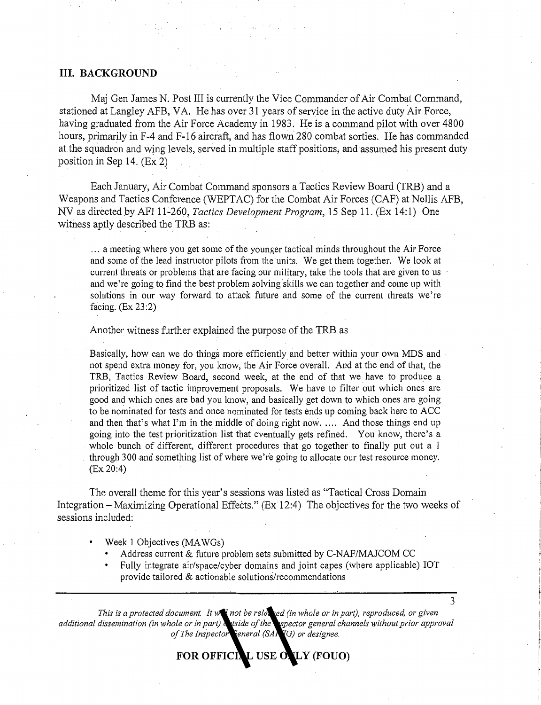#### **III. BACKGROUND**

Maj Gen James N. Post III is currently the Vice Commander of Air Combat Command, stationed at Langley AFB, VA. He has over 31 years of service in the active duty Air Force, having graduated from the Air Force Academy in 1983. He is a command pilot with over 4800 hours, primarily in F-4 and F-16 aircraft, and has flown 280 combat sorties. He has commanded at the squadron and wing levels, served in multiple staff positions, and assumed his present duty position in Sep 14. (Ex 2)

Each January, Air Combat Command sponsors a Tactics Review Board (TRB) and a Weapons and Tactics Conference (WEPTAC) for the Combat Air Forces (CAF) at Nellis AFB, NV as directed by AFI 11-260, *Tactics Development Program*, 15 Sep 11. (Ex 14:1) One witness aptly described the TRB as:

... a meeting where you get some of the younger tactical minds throughout the Air Force and some of the lead instructor pilots from the units. We get them together. We look at current threats or problems that are facing our military, take the tools that are given to us and we're going to find the best problem solving skills we can together and come up with solutions in our way forward to attack future and some of the current threats we're facing. (Ex 23:2)

Another witness further explained the purpose of the TRB as

·Basically, how can we do things more efficiently and better within your own MDS and not spend extra money for, you know, the Air Force overall. And at the end of that, the TRB, Tactics Review Board, second week, at the end of that we have to produce a prioritized list of tactic improvement proposals. We have to filter out which ones are good and which ones are bad you know, and basically get down to which ones are going to be nominated for tests and once nominated for tests ends up coming back here to ACC and then that's what I'm in the middle of doing right now ..... And those things end up going into the test prioritization list that eventually gets refined. You know, there's a whole bunch of different, different procedures that go together to finally put out a I through 300 and something list of where we're going to allocate our test resource money. (Ex 20:4)

The overall theme for this year's sessions was listed as "Tactical Cross Domain Integration  $-$  Maximizing Operational Effects." (Ex 12:4) The objectives for the two weeks of sessions included:

- Week 1 Objectives (MAWGs)
	- Address current & future problem sets submitted by C-NAF/MAJCOM CC
	- Fully integrate air/space/cyber domains and joint capes (where applicable) IOT provide tailored & actionable solutions/recommendations

3

*This is a protected document. It will not be rele* sed (in whole or in part), reproduced, or given additional dissemination (in whole or in part) utside of the *espector general channels without prior approval* of The Inspector General (SA<sub>RIG</sub>) or designee.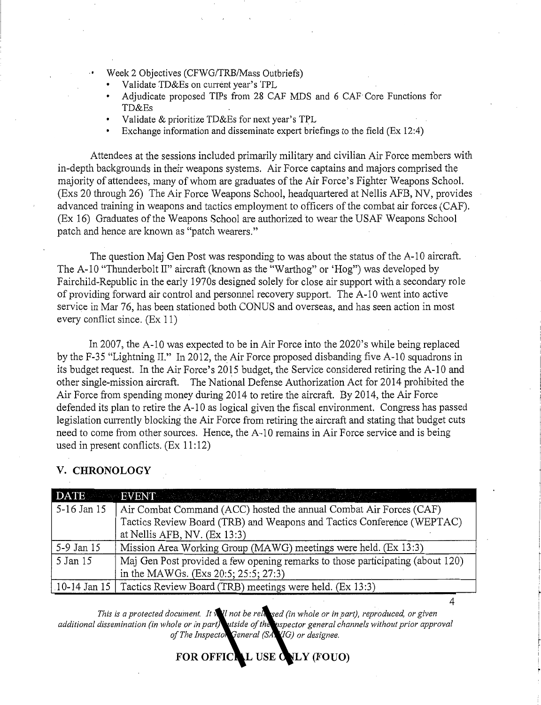- Week 2 Objectives (CFWG/TRB/Mass Outbriefs)
	- Validate TD&Es on current year's TPL
	- Adjudicate proposed TIPs from 28 CAF MDS and 6 CAP Core Functions for TD&Es
	- Validate & prioritize TD&Es for next year's TPL
	- Exchange information and disseminate expert briefings to the field (Ex 12:4)

Attendees at the sessions included primarily military and civilian Air Force members with in-depth backgrounds in their weapons systems. Air Force captains and majors comprised the majority of attendees, many of whom are graduates of the Air Force's Fighter Weapons School. (Exs 20 through 26) The Air Force Weapons School, headquartered at Nellis AFB, NV, provides advanced training in weapons and tactics employment to officers of the combat air forces (CAF). (Ex 16) Graduates of the Weapons School are authorized to wear the USAF Weapons School patch and hence are known as "patch wearers."

The question Maj Gen Post was responding to was about the status of the A-10 aircraft. The A-10 "Thunderbolt II" aircraft (known as the "Warthog" or 'Hog") was developed by Fairchild-Republic in the early 1970s designed solely for close air support with a secondary role of providing forward air control and personnel recovery support. The A-10 went into active service in Mar 76, has been stationed both CONUS and overseas, and has seen action in most every conflict since. (Ex 11)

In 2007, the A-10 was expected to be in Air Force into the 2020's while being replaced by the F-35 "Lightning II." In 2012, the Air Force proposed disbanding five A-10 squadrons in its budget request. In the Air Force's 2015 budget, the Service considered retiring the A-10 and other single-mission aircraft. The National Defense Authorization Act for 2014 prohibited the Air Force from spending money during 2014 to retire the aircraft. By 2014, the Air Force defended its plan to retire the A-10 as logical given the fiscal environment. Congress has passed legislation cunently blocking the Air Force from retiring the aircraft and stating that budget cuts need to come from other sources. Hence, the A-10 remains in Air Force service and is being used in present conflicts.  $(Ex\ 11:12)$ 

#### **V. CHRONOLOGY**

|             | DATE FOR EVENT A RELEASE AND RELEASE AND RELEASE AND RELEASE AND RELEASE AND RELEASE AND RELEASE AND RELEASE AND RELEASE AND RELEASE AND RELEASE AND RELEASE. |
|-------------|---------------------------------------------------------------------------------------------------------------------------------------------------------------|
| 5-16 Jan 15 | Air Combat Command (ACC) hosted the annual Combat Air Forces (CAF)                                                                                            |
|             | Tactics Review Board (TRB) and Weapons and Tactics Conference (WEPTAC)                                                                                        |
|             | at Nellis AFB, NV. $(Ex\ 13:3)$                                                                                                                               |
| 5-9 Jan 15  | Mission Area Working Group (MAWG) meetings were held. (Ex 13:3)                                                                                               |
| 5 Jan 15    | Maj Gen Post provided a few opening remarks to those participating (about 120)                                                                                |
|             | in the MAWGs. (Exs 20:5; 25:5; 27:3)                                                                                                                          |
|             | 10-14 Jan 15   Tactics Review Board (TRB) meetings were held. (Ex 13:3)                                                                                       |

*This is a protected document. It will not be released (in whole or in part), reproduced, or given additional dissemination (in whole or in part) outside of the inspector general channels without prior approval*  of The Inspector General (SA VIG) or designee.

FOR OFFICIAL USE CNLY (FOUO)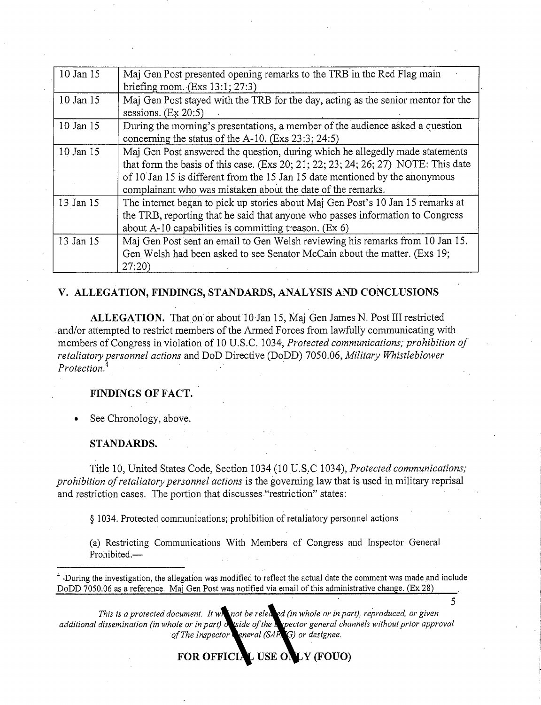| 10 Jan 15 | Maj Gen Post presented opening remarks to the TRB in the Red Flag main<br>briefing room. $(Exs 13:1; 27:3)$                                                                                                                                                                                                        |
|-----------|--------------------------------------------------------------------------------------------------------------------------------------------------------------------------------------------------------------------------------------------------------------------------------------------------------------------|
| 10 Jan 15 | Maj Gen Post stayed with the TRB for the day, acting as the senior mentor for the<br>sessions. $(Ex 20:5)$                                                                                                                                                                                                         |
| 10 Jan 15 | During the morning's presentations, a member of the audience asked a question<br>concerning the status of the $A-10$ . (Exs 23:3; 24:5)                                                                                                                                                                            |
| 10 Jan 15 | Maj Gen Post answered the question, during which he allegedly made statements<br>that form the basis of this case. (Exs 20; 21; 22; 23; 24; 26; 27) NOTE: This date<br>of 10 Jan 15 is different from the 15 Jan 15 date mentioned by the anonymous<br>complainant who was mistaken about the date of the remarks. |
| 13 Jan 15 | The internet began to pick up stories about Maj Gen Post's 10 Jan 15 remarks at<br>the TRB, reporting that he said that anyone who passes information to Congress<br>about $A-10$ capabilities is committing treason. (Ex 6)                                                                                       |
| 13 Jan 15 | Maj Gen Post sent an email to Gen Welsh reviewing his remarks from 10 Jan 15.<br>Gen Welsh had been asked to see Senator McCain about the matter. (Exs 19;<br>27:20                                                                                                                                                |

#### **V. ALLEGATION, FINDINGS, STANDARDS, ANALYSIS AND CONCLUSIONS**

**ALLEGATION.** That on or about 10 Jan 15, Maj Gen James N. Post III restricted and/or attempted to restrict members of the Armed Forces from lawfully communicating with members of Congress in violation of 10 U.S.C. 1034, *Protected communications,· prohibition of retaliatory personnel actions* and DoD Directive (DoDD) 7050.06, *Military Whistleblower Protection.*<sup>4</sup>.

#### **FINDINGS OF FACT.**

See Chronology, above.

#### **STANDARDS.**

Title 10, United States Code, Section 1034 (10 U.S.C 1034), *Protected communications; prohibition of retaliatory personnel actions* is the governing law that is used in military reprisal and restriction cases. The portion that discusses "restriction" states:

§ 1034. Protected communications; prohibition of retaliatory personnel actions

(a) Restricting Communications With Members of Congress and Inspector General Prohibited.-

·During the investigation, the allegation was modified to reflect the actual date the comment was made and include DoDD 7050.06 as a reference. Maj Gen Post was notified via email of this administrative change. (Ex 28)

5

*This is a protected document. It will not be released (in whole or in part), reproduced, or given*  additional dissemination (in whole or in part) of side of the inspector general channels without prior approval of The Inspector General (SAF<sub>IIG</sub>) or designee.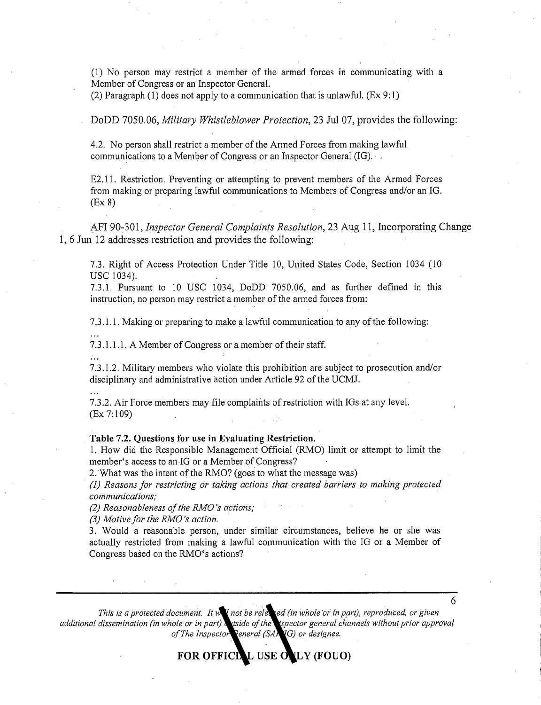(1) No person may restrict a member of the armed forces in communicating with a Member of Congress or an Inspector General.

(2) Paragraph (1) does not apply to a communication that is unlawful. (Ex 9: **1)** 

DoDD 7050.06, *Military Whistleblower Protection,* 23 Jul 07, provides the following:

4.2. No person shall restrict a member of the Armed Forces from making lawful communications to a Member of Congress or an Inspector General (IG). .

E2.11. Restriction. Preventing or attempting to prevent members of the Armed Forces from making or preparing lawful communications to Members of Congress and/or an IG. (Ex 8)

AFI 90-301, *Inspector General Complaints Resolution,* 23 Aug 11, Incorporating Change 1, 6 Jun 12 addresses restriction and provides the following:

7.3. Right of Access Protection Under Title 10, United States Code, Section 1034 (10 USC 1034).

7.3.1. Pursuant to 10 USC 1034, DoDD 7050.06, and as further defined in this instruction, no person may restrict a member of the armed forces from:

7.3 .1.1. Making or preparing to make a lawful communication to any of the following:

7.3 .1.1.1. A Member of Congress or a member of their staff.

7 .3 .1.2. Military members who violate this prohibition are subject to prosecution and/or disciplinary and administrative action under Article 92 of the UCMJ.

7.3.2. Air Force members may file complaints of restriction with IGs at any level. (Ex 7:109)

**Table 7.2. Questions for use in Evaluating Restriction.** 

1. How did the Responsible Management Official (RMO) limit or attempt to limit the member's access to an-IG or a Member of Congress?

2. What was the intent of the RMO? (goes to what the message was)

*(1) Reasons for restr'icting or taking actioizs that created barriers to making protected communications;* 

*(2) Reasonableness of the RMO 's actions;* 

*(3) Motive for the RMO* 's *action.* 

3. Would a reasonable person, under similar circumstances, believe he or she was actually restricted from making a lawful communication with the IG or a Member of Congress based on the RMO's actions?

6

*This is a protected document. It will not be released (in whole 'or* in *part), reproduced, or given*  additional dissemination (in whole or in part) wiside of the *ispector general channels without prior approval of The Inspector General (SAFIIG) or designee.*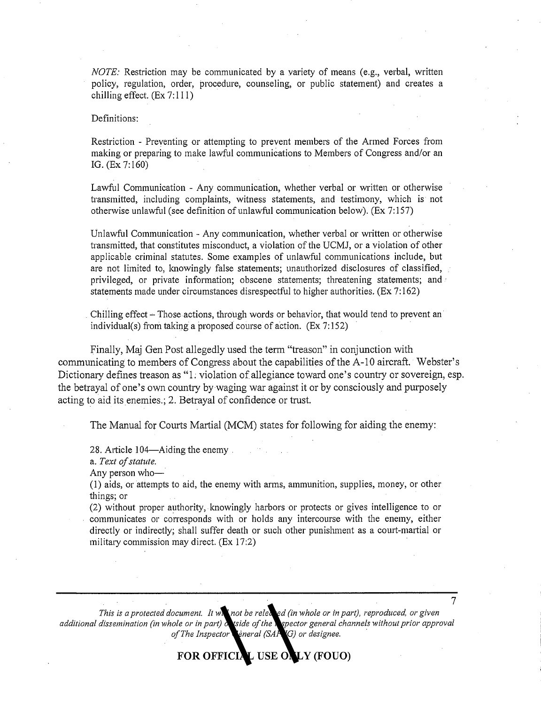*NOTE:* Restriction may be communicated by a variety of means (e.g., verbal, written policy, regulation, order, procedure, counseling, or public statement) and creates a chilling effect.  $(Ex 7:111)$ 

Definitions:

Restriction - Preventing or attempting to prevent members of the Armed Forces from making or preparing to make lawful communications to Members of Congress and/or an IG. (Ex 7:160)

Lawful Communication - Any communication, whether verbal or written or otherwise transmitted, including complaints, witness statements, and testimony, which is not otherwise unlawful (see definition of unlawful communication below). (Ex 7: 157)

Unlawful Communication - Any communication, whether verbal or written or otherwise transmitted, that constitutes misconduct, a violation of the UCMJ, or a violation of other applicable criminal statutes. Some examples of unlawful communications include, but are not limited to, knowingly false statements; unauthorized disclosures of classified, privileged, or private information; obscene statements; threatening statements; and · statements made under circumstances disrespectful to higher authorities. (Ex 7: 162)

Chilling effect – Those actions, through words or behavior, that would tend to prevent an individual(s) from taking a proposed course of action.  $(Ex 7:152)$ 

Finally, Maj Gen Post allegedly used the term "treason" in conjunction with communicating to members of Congress about the capabilities of the A-10 aircraft. Webster's Dictionary defines treason as "I: violation of allegiance toward one's country or sovereign, esp. the betrayal of one's own country by waging war against it or by consciously and purposely acting to aid its enemies.; 2. Betrayal of confidence or trust.

The Manual for Courts Martial (MCM) states for following for aiding the enemy:

28. Article 104—Aiding the enemy

a. *Text of statute.* 

Any person who-

(1) aids, or attempts to aid, the enemy with arms, ammunition, supplies, money, or other things; or

(2) without proper authority, knowingly harbors or protects or gives intelligence to or communicates or corresponds with or holds any intercourse with the enemy, either directly or indirectly; shall suffer death or such other punishment as a court-martial or military commission may direct. (Ex 17:2)

7 *This is a protected document. It will not be released (in whole or in part), reproduced, or given*  additional dissemination (in whole or in part) on tside of the **in**spector general channels without prior approval *of The Inspector Leneral (SAF G) or designee.*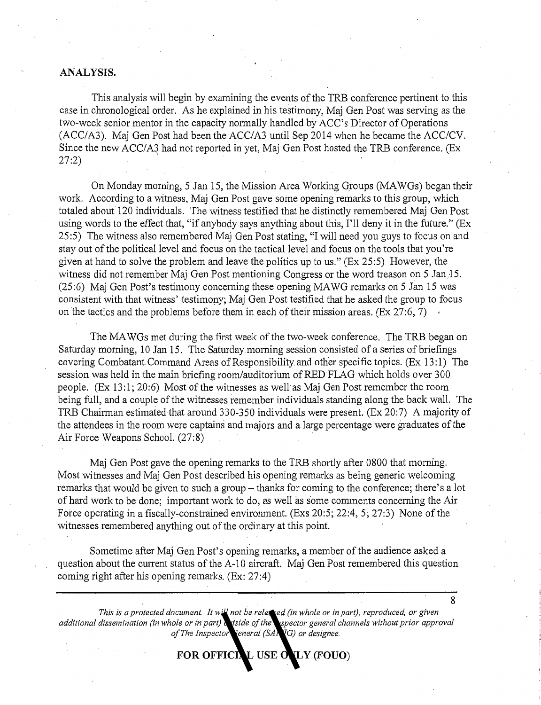#### **ANALYSIS.**

This analysis will begin by examining the events of the TRB conference pertinent to this case in chronological order. As he explained in his testimony, Maj Gen Post was serving as the two-week senior mentor in the capacity normally handled by ACC's Director of Operations (ACC/A3). Maj Gen Post had been the ACC/A3 until Sep 2014 when he became the ACC/CV. Since the new ACC/A3 had not reported in yet, Maj Gen Post hosted the TRB conference. (Ex  $27:2$ )  $(27:2)$ 

On Monday morning, 5 Jan 15, the Mission Area Working Groups (MAWGs) began their work. According to a witness, Maj Gen Post gave some opening remarks to this group, which totaled about 120 individuals. The witness testified that he distinctly remembered Maj Gen Post using words to the effect that, "if anybody says anything about this, I'll deny it in the future." (Ex 25 :5) The witness also remembered Maj Gen Post stating, "I will need you guys to focus on and stay out of the political level and focus on the tactical level and focus on the tools that you're given at hand to solve the problem and leave the politics up to us." (Ex 25:5) However, the witness did not remember Maj Gen Post mentioning Congress or the word treason on 5 Jan 15. (25:6) Maj Gen Post's testimony concerning these opening MAWG remarks on 5 Jan 15 was consistent with that witness' testimony; Maj Gen Post testified that he asked the group to focus on the tactics and the problems before them in each of their mission areas. (Ex 27:6, 7)  $\rightarrow$ 

The MAWGs met during the first week of the two-week conference. The TRB began on Saturday morning, 10 Jan 15. The Saturday morning session consisted of a series of briefings covering Combatant Command Areas of Responsibility and other specific topics. (Ex 13: **1)** The session was held in the main briefing room/auditorium of RED FLAG which holds over 300 people. (Ex 13:1; 20:6) Most of the witnesses as well as Maj Gen Post remember the room being full, and a couple of the witnesses remember individuals standing along the back wall. The TRB Chairman estimated that around 330-350 individuals were present. (Ex 20:7) A majority of the attendees in the room were captains and majors and a large percentage were graduates of the Air Force Weapons School. (27:8)

Maj Gen Post gave the opening remarks to the TRB shortly after 0800 that morning. Most witnesses and Maj Gen Post described his opening remarks as being generic welcoming remarks that would be given to such a group – thanks for coming to the conference; there's a lot of hard work to be done; important work to do, as well as some comments concerning the Air Force operating in a fiscally-constrained environment. (Exs 20:5; 22:4, 5; 27:3) None of the witnesses remembered anything out of the ordinary at this point.

Sometime after Maj Gen Post's opening remarks, a member of the audience asked a question about the current status of the A-10 aircraft. Maj Gen Post remembered this question coming right after his opening remarks. (Ex: 27:4)

8

*This is a protected document. It will not be released (in whole or in part), reproduced, or given additional dissemination (in whole or in part)* utside of the *aspector general channels without prior approval* of The Inspector General (SA<sub>1</sub> /IG) or designee.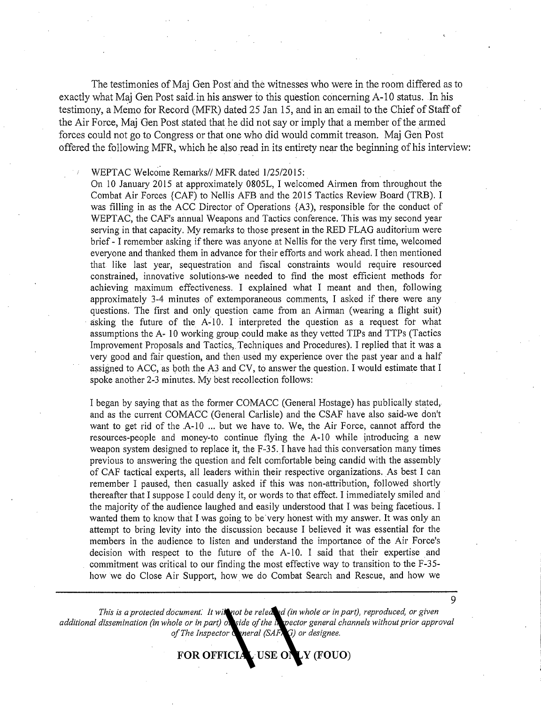The testimonies of Maj Gen Postand the witnesses who were in the room differed as to exactly what Maj Gen Post said. in his answer io this question concerning A-10 status. Jn his testimony, a Memo for Record (MFR) dated 25 Jan 15, and in an email to the Chief of Staff of the Air Force, Maj Gen Post stated that he did not say or imply that a member of the armed forces could not go to Congress or that one who did would commit treason. Maj Gen Post offered the following MFR, which he also read in its entirety near the beginning of his interview:

WEPTAC Welcome Remarks// MFR dated 1/25/2015:

On 10 January 2015 at approximately 0805L, I welcomed Airmen from throughout the Combat Air Forces {CAF) to Nellis AFB and the 2015 Tactics Review Board (TRB). I was filling in as the ACC Director of Operations {A3), responsible for the conduct of WEPTAC, the CAF's annual Weapons and Tactics conference. This was lny second year serving in that capacity. My remarks to those present in the RED FLAG auditorium were brief - I remember asking if there was anyone at Nellis for the very first time, welcomed everyone and thanked them in advance for their efforts and work ahead. I then mentioned that like last year, sequestration and fiscal constraints would require resourced constrained, innovative solutions-we needed to find the most efficient methods for achieving maximum effectiveness. I explained what I meant and then, following approximately 3-4 minutes of extemporaneous comments, I asked if there were any questions. The first and only question came from an Airman (wearing a flight suit) asking the future of the A~lO. I interpreted the question as a request fot what assumptions the A- 10 working group could make as they vetted TIPs and TTPs (Tactics Improvement Proposals and Tactics, Techniques and Procedures). I replied that it was a very good and fair question, and then used my experience over the past year and a half assigned to ACC, as both the A3 and CV, to answer the question. I would estimate that I spoke another 2-3 minutes. My best recollection follows:

I began by saying that as the former COMACC (General Hostage) has publically stated, and as the current COMACC (General Carlisle) and the CSAF have also said-we don't want to get rid of the A-10 ... but we have to. We, the Air Force, cannot afford the resources-people and money-to continue flying the A-10 while introducing a new weapon system designed to replace it, the  $F-35$ . I have had this conversation many times previous to answering the question and felt comfortable being candid with the assembly of CAF tactical experts, all leaders within their respective organizations. As best I can remember I paused, then casually asked if this was non-attribution, followed shortly thereafter that I suppose I could deny it, or words to that effect. I immediately smiled and the majority of the audience laughed and easily understood that I was being facetious. I wanted them to know that I was going to be'very honest with my answer. It was only an attempt to bring levity into the discussion because I believed it was essential for the members in the audience to listen and understand the importance of the Air Force's decision with respect to the future of the A-10. I said that their expertise and commitment was critical to our finding the most effective way to transition to the F-35 how we do Close Air Support, how. we do Combat Search and Rescue, and how we

*This is a protected document: It will not be released (in whole or in part), reproduced, or given*  additional dissemination (in whole or in part) on side of the inspector general channels without prior approval *of The Inspector General (SAFIIG) or designee.* 

FOR OFFICIAL USE ONLY (FOUO)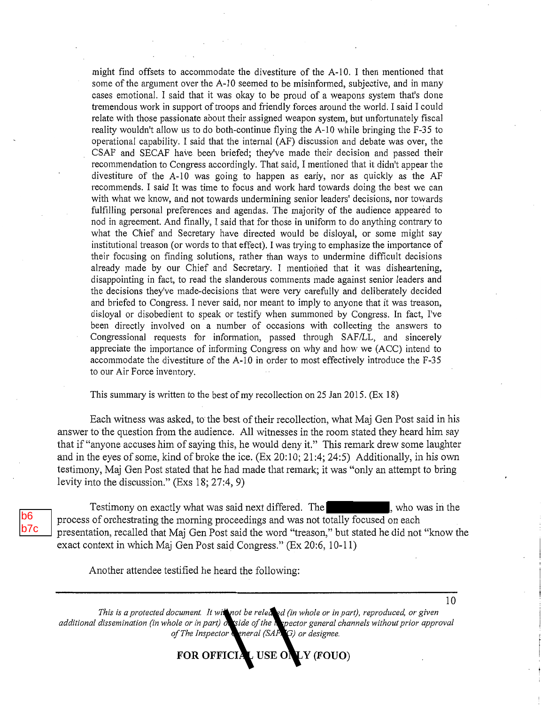might find offsets to accommodate the divestiture of the A-10. I then mentioned that some of the argument over the A-10 seemed to be misinformed, subjective, and in many cases emotional. I said that it was okay to be proud of a weapons system that's done tremendous work in support of troops and friendly forces around the world. I said I could relate with those passionate about their assigned weapon system, but unfortunately fiscal reality wouldn't allow us to do both-continue flying the A-10 while bringing the F-35 to operational capability. I said that the internal (AF) discussion and debate was over, the CSAF and SECAF have been briefed; they've made their decision and passed their recommendation to Congress accordingly. That said, I mentioned that it didn't appear the divestiture of the A-10 was going to happen as early, nor as quickly as the AF recommends. I said It was time to focus and work hard towards doing the best we can with what we lmow, and not towards undermining senior leaders' decisions, nor towards fulfilling personal preferences and agendas. The majority of the audience appeared to nod in agreement. And finally, I said that for those in uniform to do anything contrary to what the Chief and Secretary have directed would be disloyal, or some might say institutional treason (or words to that effect). I was trying to emphasize the importance of their focusing on finding solutions, rather than ways to undermine difficult decisions already made by our Chief and Secretary. I mentioned that it was disheartening, disappointing in fact, to read the slanderous comments made against senior leaders and the decisions they've made-decisions that were very carefully and deliberately decided and briefed to Congress. I never said, nor meant to imply to anyone that it was treason, disloyal or disobedient to speak or testify when summoned by Congress. In fact, I've been directly involved on a number of occasions with collecting the answers to Congressional requests for information, passed through SAF/LL, and sincerely appreciate the importance of informing Congress on why and how we (ACC) intend to accommodate the divestiture of the A-10 in order to most effectively introduce the F-35 to our Air Force inventory.

This summary is written to the best of my recollection on 25 Jan 2015. (Ex 18)

Each witness was asked, to the best of their recollection, what Maj Gen Post said in his answer to the question from the audience. All witnesses in the room stated they heard him say that if "anyone accuses him of saying this, he would deny it." This remark drew some laughter and in the eyes of some, kind of broke the ice. (Ex 20:10; 21:4; 24:5) Additionally, in his own testimony, Maj Gen Post stated that he had made that remark; it was "only an attempt to bring levity into the discussion." (Exs 18; 27:4, 9)

b6 b7c

Testimony on exactly what was said next differed. The state who was in the process of orchestrating the morning proceedings and was not totally focused on each presentation, recalled that Maj Gen Post said the word "treason," but stated he did not "know the exact context in which Maj Gen Post said Congress." (Ex 20:6, 10-11)

Another attendee testified he heard the following:

*This is a protected document. It will not be released (in whole or in part), reproduced, or given* additional dissemination (in whole or in part) on tside of the *inspector general channels without prior approval* of The Inspector Veneral (SAF<sub>IG</sub>) or designee.

**FOR OFFICIAL USE ONLY (FOUO)**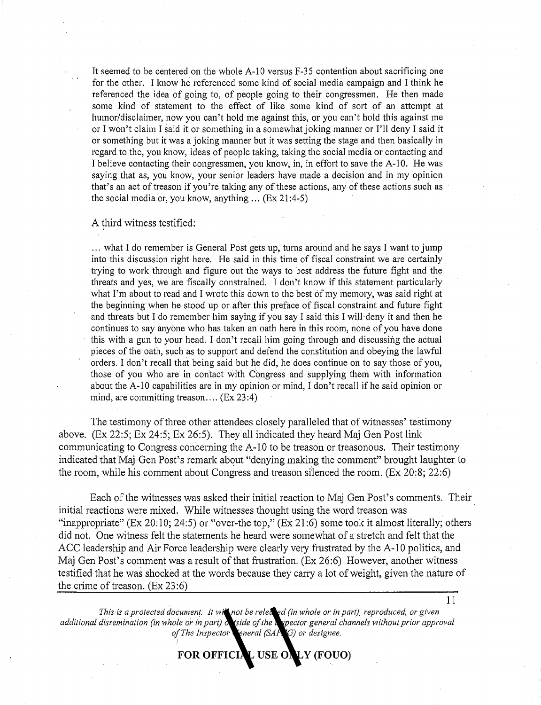It seemed to be centered on the whole A-10 versus F-35 contention about sacrificing one for the other. I know he referenced some kind of social media campaign and I think he referenced the idea of going to, of people going to their congressmen. He then made some kind of statement to the effect of like some kind of sort of an attempt at humor/disclaimer, now you can't hold me against this, or you can't hold this against me or I won't claim I said it or something in a somewhat joking manner or I'll deny I said it or something but it was a joking manner but it was setting the stage and then basically in regard to the, you know, ideas of people taking, taking the social media or contacting and I believe contacting their congressmen, you know, in, in effort to save the A-10. He was saying that as, you know, your senior leaders have made a decision and in my opinion that's an act of treason if you're taking any of these actions, any of these actions such as the social media or, you know, anything ... (Ex 21:4-5)

#### A third witness testified:

... what I do remember is General Post gets up, turns around and he says I want to jump into this discussion right here. He said in this time of fiscal constraint we are certainly trying to work through and figure out the ways to best address the future fight and the threats and yes, we are fiscally constrained. I don't know if this statement particularly what I'm about to read and I wrote this down to the best of my memory, was said right at the beginning when he stood up or after this preface of fiscal constraint and future fight and threats but I do remember him saying if you say I said this I will deny it and then he continues to say anyone who has taken an oath here in this room, none of you have done this with a gun to your head. I don't recall him going through and discussing the actual pieces of the oath, such as to support and defend the constitution and obeying the lawful orders. I don't recall that being said but he did, he does continue on to say those of you, those of you who are in contact with Congress and supplying them with information about the A-10 capabilities are in my opinion or mind, I don't recall if he said opinion or mind, are committing treason....  $(Ex\ 23:4)$ 

The testimony of three other attendees closely paralleled that of witnesses' testimony above. (Ex 22:5; Ex 24:5; Ex 26:5). They all indicated they heard Maj Gen Post link communicating to Congress concerning the A-10 to be treason or treasonous. Their testimony indicated that Maj Gen Post's remark about "denying making the comment" brought laughter to the room, while his comment about Congress and treason silenced the room. (Ex 20:8; 22:6)

Each of the witnesses was asked their initial reaction to Maj Gen Post's comments. Their initial reactions were mixed. While witnesses thought using the word treason was "inappropriate" (Ex 20:10; 24:5) or "over-the top," (Ex 21:6) some took it almost literally; others did not. One witness felt the statements he heard were somewhat of a stretch and felt that the ACC leadership and Air Force leadership were clearly very frustrated by the A-10 politics, and Maj Gen Post's comment was a result of that frustration. (Ex 26:6) However, another witness testified that he was shocked at the words because they carry a lot of weight, given the nature of the crime of treason. (Ex 23:6)

*This is a protected document. It will not be released (in whole or in part), reproduced, or given*  additional dissemination (in whole or in part) on tside of the *inspector general channels without prior approval* of The Inspector General (SAF<sub>IIG</sub>) or designee.

**FOR OFFICIAL USE ONLY (FOUO)**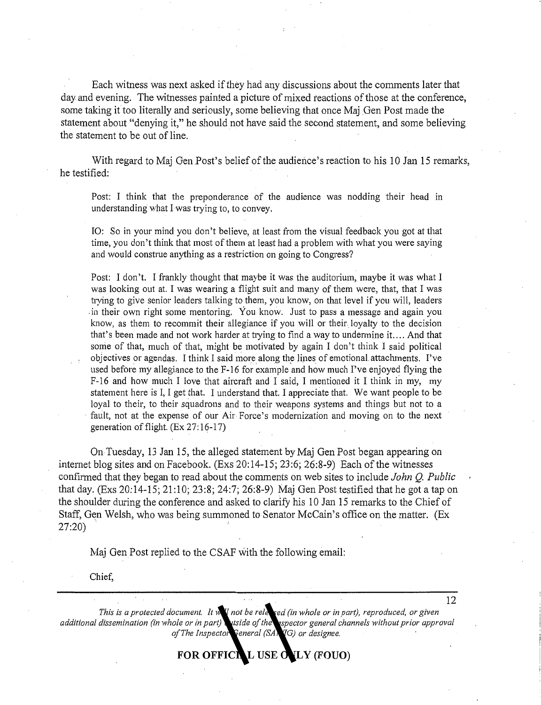Each witness was next asked if they had any discussions about the comments later that day and evening. The witnesses painted a picture of mixed reactions of those at the conference, some taking it too literally and seriously, some believing that once Maj Gen Post made the statement about "denying it," he should not have said the second statement, and some believing the statement to be out of line.

With regard to Maj Gen Post's belief of the audience's reaction to his 10 Jan 15 remarks, he testified:

Post: I think that the preponderance of the audience was nodding their head in understanding what I was trying to, to convey.

IO: So in your mind you don't believe, at least from the visual feedback you got at that time, you don't think that most of them at least had a problem with what you were saying and would construe anything as a restriction on going to Congress?

Post: I don't. I frankly thought that maybe it was the auditorium, maybe it was what I was looking out at. I was wearing a flight suit and many of them were, that, that I was trying to give senior leaders talking to them, you know, on that level if you will, leaders .in their own right some mentoring. You know. Just to pass a message and again you know, as them to recommit their allegiance if you will or their. loyalty to the decision that's been made and not work harder at trying to find a way to undermine it. ... And that some of that, much of that, might be motivated by again I don't think I said political objectives or agendas. I think I said more along the lines of emotional attachments. I've used before my allegiance to the  $F-16$  for example and how much I've enjoyed flying the  $F-16$  and how much I love that aircraft and I said, I mentioned it I think in my, my statement here is I, I get that. I understand that. I appreciate that. We want people to be loyal to their, to their squadrons and to their weapons systems and things but not to a fault, not at the expense of our Air Force's modernization and moving on to the next generation of flight. (Ex 27:16-17)

On Tuesday, 13 Jan 15, the alleged statement by Maj Gen Post began appearing on internet blog sites and on Facebook. (Exs 20:14-15; 23:6; 26:8-9) Each of the witnesses confirmed that they began to read about the comments on web sites to include *John* Q. *Public*  that day. (Exs 20:14-15; 21:10;23:8; 24:7; 26:8-9) Maj Gen Post testified that he got a tap on the shoulder during the conference and asked to clarify his 10 Jan 15 remarks to the Chief of Staff, Gen Welsh, who was being summoned to Senator McCain's office on the matter. (Ex 27:20)

Maj Gen Post replied to the CSAF with the following email:

Chief,

*This is a protected document. It will not be released (in whole or in part), reproduced, or given additional dissemination (in whole or in part)* utside of the *inspector general channels without prior approval* of The Inspector General (SA<sub>2</sub>/IG) or designee.

FOR OFFICIAL USE OVLY (FOUO)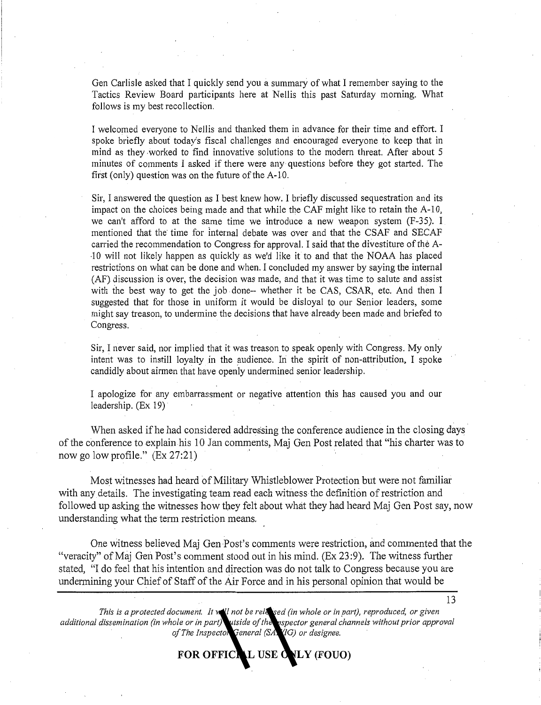Gen Carlisle asked that I quickly send you a summary of what I remember saying to the Tactics Review Board participants here at Nellis this past Saturday morning. What follows is my best recollection.

I welcomed everyone to Nellis and thanked them in advance for their time and effort. I spoke briefly about today's fiscal challenges and encouraged everyone to keep that in mind as they -worked to find innovative solutions to the modern threat. After about 5 minutes of comments I asked if there were any questions before they got started. The first (only) question was on the future of the A-10.

Sir, I answered the question as I best knew how. I briefly discussed sequestration and its impact on the choices being made and that while the CAF might like to retain the A-10, we can't afford to at the same time we introduce a new weapon system (F-35). I mentioned that the time for internal debate was over and that the CSAF and SECAF carried the recommendation to Congress for approval. I said that the divestiture of the A- · 10 will not likely happen as quickly as we'd like it to and that the NOAA has placed restrictions on what can be done and when. I concluded my answer by saying the internal  $(AF)$  discussion is over, the decision was made, and that it was time to salute and assist with the best way to get the job done-- whether it be CAS, CSAR, etc. And then I suggested that for those in uniform it would be disloyal to our Senior leaders, some might say treason, to undermine the decisions that have already been made and briefed to Congress.

Sir, I never said, nor implied that it was treason to speak openly with Congress. My only intent was to instill loyalty in the audience. In the spirit of non-attribution, I spoke candidly about airmen that have openly undermined senior leadership.

I apologize for any embarrassment or negative attention this has caused you and our leadership. (Ex 19)

When asked if he had considered addressing the conference audience in the closing days of the conference to explain his 10 Jan comments, Maj Gen Post related that "his charter was to now go low profile." (Ex 27:21)

Most witnesses had heard of Military Whistleblower Protection but were not familiar with any details. The investigating team read each witness the definition of restriction and followed up asking the witnesses how they felt about what they had heard Maj Gen Post say, now understanding what the term restriction means.

One witness believed Maj Gen Post's comments were restriction, and commented that the "veracity" of Maj Gen Post's comment stood out in his mind. (Ex 23:9). The witness further stated, "I do feel that his intention and direction was do not talk to Congress because you are undermining your Chief of Staff of the Air Force and in his personal opinion that would be

*This is a protected document. It will not be released (in whole or in part), reproduced, or given* additional dissemination (in whole or in part) utside of the inspector general channels without prior approval of The Inspector General (SA<sup>VIG</sup>) or designee.

FOR OFFICIAL USE ONLY (FOUO)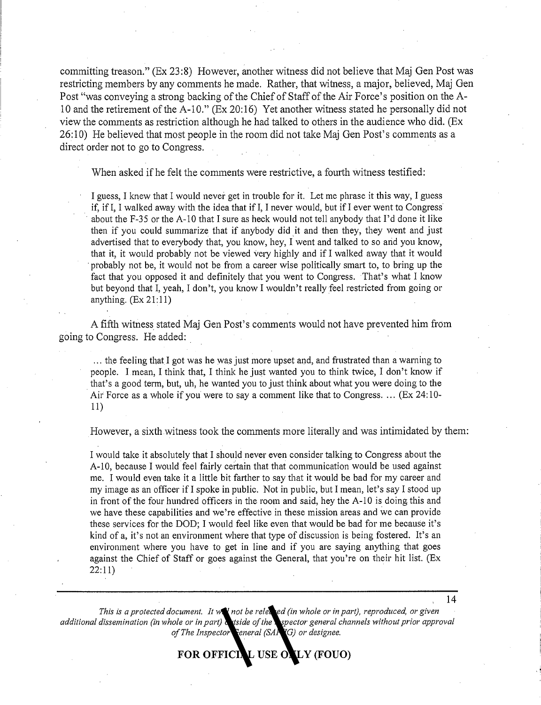committing treason." (Ex 23:8) However, another witness did not believe that Maj Gen Post was restricting members by any comments he made. Rather, that witness, a major, believed, Maj Gen Post "was conveying a strong backing of the Chief of Staff of the Air Force's position on the A-10 and the retirement of the A-10." (Ex 20:16) Yet another witness stated he personally did not view the comments as restriction although he had talked to others in the audience who did. (Ex 26:10) He believed that most people in the room did not take Maj Gen Post's comments as a direct order not to go to Congress.

When asked if he felt the comments were restrictive, a fourth witness testified:

I guess, I knew that I would never get in trouble for it. Let me phrase it this way, I guess if, if I, I walked away with the idea that if I, I never would, but if I ever went to Congress about the F-35 or the A-10 that I sure as heck would not tell anybody that I'd done it like then if you could summarize that if anybody did it and then they, they went and just advertised that to everybody that, you know, hey, I went and talked to so and you know, that it, it would probably not be viewed very highly and if I walked away that it would probably not be, it would not be from a career wise politically smart to, to bring up the fact that you opposed it and definitely that you went to Congress. That's what I know but beyond that I, yeah, I don't, you know I wouldn't really feel restricted from going or anything.  $(Ex 21:11)$ 

A fifth witness stated Maj Gen Post's comments would not have prevented him from going to Congress. He added: .

... the feeling that I got was he was just more upset and, and frustrated than a warning to people. I mean, I think that, I think he just wanted you to think twice, I don't know if . that's a good term, but, uh, he wanted you to just think about what you were doing to the Air Force as a whole if you were to say a comment like that to Congress .... (Ex 24: 10- 11)

However, a sixth witness took the comments more literally and was intimidated by them:

I would take it absolutely that I should never even consider talking to Congress about the A-10, because I would feel fairly certain that that communication would be used against me. I would even take it a little bit farther to say that it would be bad for my career and my image as an officer ifI spoke in public. Not in public, but I mean, let's say I stood up in front of the four hundred officers in the room and said, hey the A-10 is doing this and we have these capabilities and we're effective in these mission areas and we can provide these services for the DOD; I would feel like even that would be bad for me because it's kind of a, it's not an environment where that type of discussion is being fostered. It's an environment where you have to get in line and if you are saying anything that goes against the Chief of Staff or goes against the General, that you're on their hit list. (Ex  $22:11)$ 

*This is a protected document. It will not be released (in whole or in part), reproduced, or given*  additional dissemination (in whole or in part) wiside of the *inspector general channels without prior approval* of The Inspector Feneral (SAF<sub>/IG</sub>) or designee.

**FOR OFFICIAL USE ONLY (FOUO)**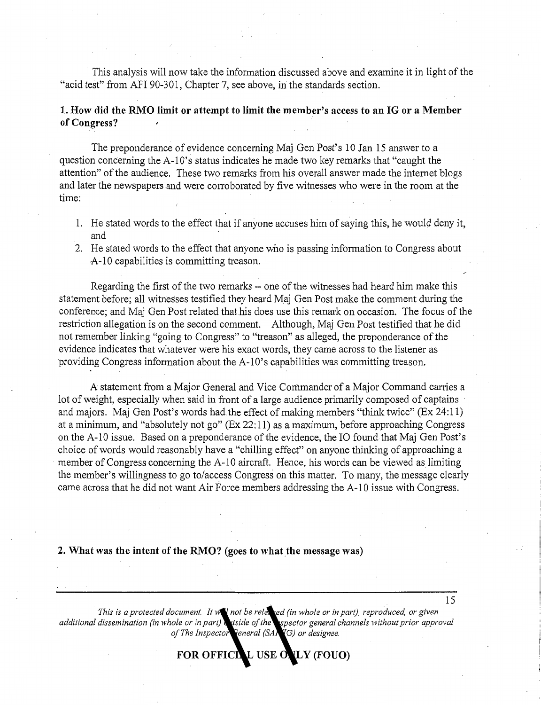This analysis will now take the information discussed above and examine it in light of the "acid test" from AFI 90-301, Chapter 7, see above, in the standards section.

#### **1. How did the RMO limit or attempt to limit the member's access to an IG or a Member of Congress?**

The preponderance of evidence concerning Maj Gen Post's 10 Jan 15 answer to a question concerning the A-lO's status indicates he made two key remarks that "caught the attention" of the audience. These two remarks from his overall answer made the internet blogs and later the newspapers and were corroborated by five witnesses who were in the room at the time:

- 1. He stated words to the effect that if anyone accuses him of saying this, he would deny it, and
- 2. He stated words to the effect that anyone who is passing information to Congress about A-10 capabilities is committing treason.

Regarding the first of the two remarks -- one of the witnesses had heard him make this statement before; all witnesses testified they heard Maj Gen Post make the comment during the conference; and Maj Gen Post related that his does use this remark on occasion. The focus of the restriction allegation is on the second comment. Although, Maj Gen Post testified that he did not remember linking "going to Congress" to "treason" as alleged, the preponderance of the evidence indicates that whatever were his exact words, they came across to the listener as providing Congress information about the A-lO's capabilities was committing treason.

A statement from a Major General and Vice Commander of a Major Command carries a lot of weight, especially when said in front of a large audience primarily composed of captains and majors. Maj Gen Post's words had the effect of making members "think twice" (Ex 24:11) at a minimum, and "absolutely not go" (Ex 22: 11) as a maximum, before approaching Congress on the A-10 issue. Based on a preponderance of the evidence, the IO found that Maj Gen Post's choice of words would reasonably have a "chilling effect" on anyone thinking of approaching a member of Congress concerning the A-10 aircraft. Hence, his words can be viewed as limiting the member's willingness to go to/access Congress on this matter. To many, the message clearly came across that he did not want Air Force members addressing the A-10 issue with Congress.

#### **2. What was the intent of the RMO? (goes to what the message was)**

*This is a protected document. It will not be released (in whole or in part), reproduced, or given additional dissemination (in whole or in part)* utside of the *aspector general channels without prior approval* of The Inspector General (SA<sub>RIG</sub>) or designee.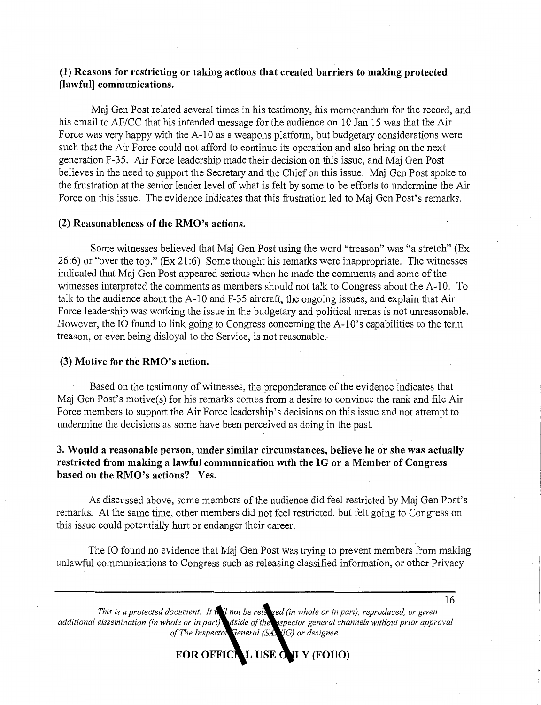#### **(1) Reasons for restricting or taking actions that created barriers to making protected [lawful] communications.**

Maj Gen Post related several times in his testimony, his memorandum for the record, and his email to AF/CC that his intended message for the audience on 10 Jan 15 was that the Air Force was very happy with the A-10 as a weapons platform, but budgetary considerations were such that the Air Force could not afford to continue its operation and also bring on the next generation F-35. Air Force leadership made their decision on this issue, and Maj Gen Post believes in the need to support the Secretary and the Chief on this issue. Maj Gen Post spoke to the frustration at the senior leader level of what is felt by some to be efforts to undermine the Air Force on this issue. The evidence indicates that this frustration led to Maj Gen Post's remarks.

#### **(2) Reasonableness of the RM O's actions.**

Some witnesses believed that Maj Gen Post using the word "treason" was "a stretch" (Ex 26:6) or "over the top." (Ex 21 :6) Some thought his remarks were inappropriate. The witnesses indicated that Maj Gen Post appeared serious when he made the comments and some of the witnesses interpreted the comments as members should not talk to Congress about the A-10. To talk to the audience about the A-10 and F-35 aircraft, the ongoing issues, and explain that Air Force leadership was working the issue in the budgetary and political arenas is not unreasonable. However, the IO found to link going to Congress concerning the A-IO's capabilities to the term treason, or even being disloyal to the Service, is not reasonable ..

#### **(3) Motive for the RMO's action.**

Based on the testimony of witnesses, the preponderance of the evidence indicates that Maj Gen Post's motive(s) for his remarks comes from a desire to convince the rank and file Air Force members to support the Air Force leadership's decisions on this issue and not attempt to undermine the decisions as some have been perceived as doing in the past.

#### **3. Would a reasonable person, under similar circumstances, believe he or she was actually restricted from malting a lawful communication with the IG or a Member of Congress based on the RMO's actions? Yes.**

As discussed above, some members of the audience did feel restricted by Maj Gen Post's remarks. At the same time, other members did not feel restricted, but felt going to Congress on this issue could potentially hurt or endanger their career.

The IO found no evidence that Maj Gen Post was trying to prevent members from making unlawful communications to Congress such as releasing classified information, or other Privacy

*This is a protected document. It will not be released (in whole or in part), reproduced, or given additional dissemination (in whole or in part) outside of the inspector general channels without prior approval*  of The Inspector General (SA<sup>YIG</sup>) or designee.

FOR OFFICIAL USE OLY (FOUO)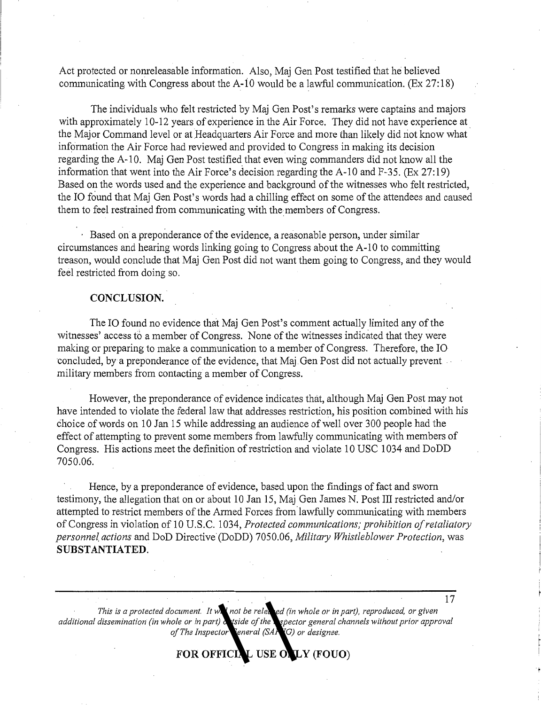Act protected or nomeleasable information. Also, Maj Gen Post testified that he believed communicating with Congress about the A-10 would be a lawful communication. (Ex 27:18)

The individuals who felt restricted by Maj Gen Post's remarks were captains and majors with approximately 10-12 years of experience in the Air Force. They did not have experience at. the Major Command level or at Headquarters Air Force and more than likely did not know what information the Air Force had reviewed and provided to Congress in making its decision regarding the A-10. Maj Gen Post testified that even wing commanders did not know all the information that went into the Air Force's decision regarding the A-10 and F-35. (Ex 27:19) Based on the words used and the experience and background of the witnesses who felt restricted, the IO found that Maj Gen Post's words had a chilling effect on some of the attendees and caused them to feel restrained from communicating with the members of Congress.

 $\cdot$  Based on a preponderance of the evidence, a reasonable person, under similar circumstances and hearing words linking going to Congress about the A-10 to committing treason, would conclude that Maj Gen Post did not want them going to Congress, and they would feel restricted from doing so.

#### **CONCLUSION.**

The IO found no evidence that Maj Gen Post's comment actually limited any of the witnesses' access to a member of Congress. None of the witnesses indicated that they were making or preparing to make a communication to a member of Congress. Therefore, the IO ·concluded, by a preponderance of the evidence, that Maj Gen Post did not actually prevent military members from contacting a member of Congress.

However, the preponderance of evidence indicates that, although Maj Gen Post may not have intended to violate the federal law that addresses restriction, his position combined with his choice of words on 10 Jan 15 while addressing an audience of well over 300 people had the effect of attempting to prevent some members from lawfully communicating with members of Congress. His actions meet the definition of restriction and violate 10 USC 1034 and DoDD 7050.06.

Hence, by a preponderance of evidence, based. upon the findings of fact and sworn testimony, the allegation that on or about 10 Jan 15, Maj Gen James N. Post III restricted and/or attempted to restrict members of the Armed Forces from lawfully communicating with members of Congress in violation of 10 U.S.C. 1034, *Protected communications; prohibition of retaliatory personnef actions* and DoD Directive (DoDD) 7050.06, *Military Whistleblower Protection,* was **SUBSTANTIATED.** 

*This is a protected document. It will not be released (in whole or in part), reproduced, or given additional dissemination (in whole or in part) outside of the inspector general channels without prior approval of The Inspector General (SAFIIG) or designee.* 

FOR OFFICIAL USE ONLY (FOUO)